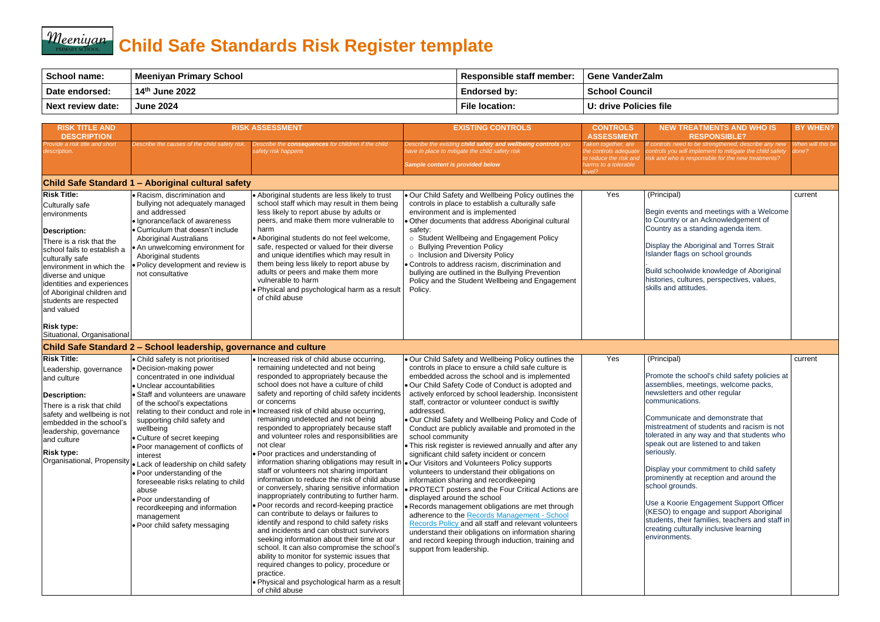## **Meeniyan** Child Safe Standards Risk Register template

| <b>School name:</b>      | <b>Meeniyan Primary School</b> | <b>Responsible staff member:</b> | <b>Gene VanderZalm</b> |
|--------------------------|--------------------------------|----------------------------------|------------------------|
| Date endorsed:           | 14th June 2022                 | <b>Endorsed by:</b>              | <b>School Council</b>  |
| <b>Next review date:</b> | <b>June 2024</b>               | <b>File location:</b>            | U: drive Policies file |

| <b>RISK TITLE AND</b><br><b>DESCRIPTION</b>                                                                                                                                                                                                                                                                             |                                                                                                                                                                                                                                                                                                                                                                                                                                                                                                                                                                  | <b>RISK ASSESSMENT</b>                                                                                                                                                                                                                                                                                                                                                                                                                                                                                                                                                                                                                                                                                                                                                                                                                                                                                                                                                                                                                                                                                                                                                          | <b>EXISTING CONTROLS</b>                                                                                                                                                                                                                                                                                                                                                                                                                                                                                                                                                                                                                                                                                                                                                                                                                                                                                                                                                                                                                                                                                                                                                           | <b>CONTROLS</b><br><b>ASSESSMENT</b>                                                                    | <b>NEW TREATMENTS AND WHO IS</b><br><b>RESPONSIBLE?</b>                                                                                                                                                                                                                                                                                                                                                                                                                                                                                                                                                                                                    | <b>BY WHEN?</b>            |
|-------------------------------------------------------------------------------------------------------------------------------------------------------------------------------------------------------------------------------------------------------------------------------------------------------------------------|------------------------------------------------------------------------------------------------------------------------------------------------------------------------------------------------------------------------------------------------------------------------------------------------------------------------------------------------------------------------------------------------------------------------------------------------------------------------------------------------------------------------------------------------------------------|---------------------------------------------------------------------------------------------------------------------------------------------------------------------------------------------------------------------------------------------------------------------------------------------------------------------------------------------------------------------------------------------------------------------------------------------------------------------------------------------------------------------------------------------------------------------------------------------------------------------------------------------------------------------------------------------------------------------------------------------------------------------------------------------------------------------------------------------------------------------------------------------------------------------------------------------------------------------------------------------------------------------------------------------------------------------------------------------------------------------------------------------------------------------------------|------------------------------------------------------------------------------------------------------------------------------------------------------------------------------------------------------------------------------------------------------------------------------------------------------------------------------------------------------------------------------------------------------------------------------------------------------------------------------------------------------------------------------------------------------------------------------------------------------------------------------------------------------------------------------------------------------------------------------------------------------------------------------------------------------------------------------------------------------------------------------------------------------------------------------------------------------------------------------------------------------------------------------------------------------------------------------------------------------------------------------------------------------------------------------------|---------------------------------------------------------------------------------------------------------|------------------------------------------------------------------------------------------------------------------------------------------------------------------------------------------------------------------------------------------------------------------------------------------------------------------------------------------------------------------------------------------------------------------------------------------------------------------------------------------------------------------------------------------------------------------------------------------------------------------------------------------------------------|----------------------------|
| Provide a risk title and short<br><i>description.</i>                                                                                                                                                                                                                                                                   | Describe the causes of the child safety risk.                                                                                                                                                                                                                                                                                                                                                                                                                                                                                                                    | Describe the consequences for children if the child<br>safety risk happens                                                                                                                                                                                                                                                                                                                                                                                                                                                                                                                                                                                                                                                                                                                                                                                                                                                                                                                                                                                                                                                                                                      | Describe the existing child safety and wellbeing controls you<br>ave in place to mitigate the child safety risk<br>Sample content is provided below                                                                                                                                                                                                                                                                                                                                                                                                                                                                                                                                                                                                                                                                                                                                                                                                                                                                                                                                                                                                                                | Taken together, are<br>the controls adequate<br>to reduce the risk and<br>narms to a tolerable<br>evel? | If controls need to be strengthened, describe any new<br>controls you will implement to mitigate the child safety<br>risk and who is responsible for the new treatments?                                                                                                                                                                                                                                                                                                                                                                                                                                                                                   | When will this be<br>done? |
|                                                                                                                                                                                                                                                                                                                         | Child Safe Standard 1 - Aboriginal cultural safety                                                                                                                                                                                                                                                                                                                                                                                                                                                                                                               |                                                                                                                                                                                                                                                                                                                                                                                                                                                                                                                                                                                                                                                                                                                                                                                                                                                                                                                                                                                                                                                                                                                                                                                 |                                                                                                                                                                                                                                                                                                                                                                                                                                                                                                                                                                                                                                                                                                                                                                                                                                                                                                                                                                                                                                                                                                                                                                                    |                                                                                                         |                                                                                                                                                                                                                                                                                                                                                                                                                                                                                                                                                                                                                                                            |                            |
| <b>Risk Title:</b><br><b>Culturally safe</b><br>environments<br><b>Description:</b><br>There is a risk that the<br>school fails to establish a<br>culturally safe<br>environment in which the<br>diverse and unique<br>identities and experiences<br>of Aboriginal children and<br>students are respected<br>and valued | Racism, discrimination and<br>bullying not adequately managed<br>and addressed<br>· Ignorance/lack of awareness<br><b>Curriculum that doesn't include</b><br><b>Aboriginal Australians</b><br>• An unwelcoming environment for<br>Aboriginal students<br>· Policy development and review is<br>not consultative                                                                                                                                                                                                                                                  | • Aboriginal students are less likely to trust<br>school staff which may result in them being<br>less likely to report abuse by adults or<br>peers, and make them more vulnerable to<br>harm<br>Aboriginal students do not feel welcome,<br>safe, respected or valued for their diverse<br>and unique identifies which may result in<br>them being less likely to report abuse by<br>adults or peers and make them more<br>vulnerable to harm<br>. Physical and psychological harm as a result<br>of child abuse                                                                                                                                                                                                                                                                                                                                                                                                                                                                                                                                                                                                                                                                | Our Child Safety and Wellbeing Policy outlines the<br>controls in place to establish a culturally safe<br>environment and is implemented<br>Other documents that address Aboriginal cultural<br>safety:<br>o Student Wellbeing and Engagement Policy<br>o Bullying Prevention Policy<br>o Inclusion and Diversity Policy<br>• Controls to address racism, discrimination and<br>bullying are outlined in the Bullying Prevention<br>Policy and the Student Wellbeing and Engagement<br>Policy.                                                                                                                                                                                                                                                                                                                                                                                                                                                                                                                                                                                                                                                                                     | Yes                                                                                                     | (Principal)<br>Begin events and meetings with a Welcome<br>to Country or an Acknowledgement of<br>Country as a standing agenda item.<br>Display the Aboriginal and Torres Strait<br>Islander flags on school grounds<br>Build schoolwide knowledge of Aboriginal<br>histories, cultures, perspectives, values,<br>skills and attitudes.                                                                                                                                                                                                                                                                                                                    | current                    |
| <b>Risk type:</b><br>Situational, Organisational                                                                                                                                                                                                                                                                        | Child Safe Standard 2 – School leadership, governance and culture                                                                                                                                                                                                                                                                                                                                                                                                                                                                                                |                                                                                                                                                                                                                                                                                                                                                                                                                                                                                                                                                                                                                                                                                                                                                                                                                                                                                                                                                                                                                                                                                                                                                                                 |                                                                                                                                                                                                                                                                                                                                                                                                                                                                                                                                                                                                                                                                                                                                                                                                                                                                                                                                                                                                                                                                                                                                                                                    |                                                                                                         |                                                                                                                                                                                                                                                                                                                                                                                                                                                                                                                                                                                                                                                            |                            |
| <b>Risk Title:</b><br>Leadership, governance<br>and culture<br><b>Description:</b><br>There is a risk that child<br>safety and wellbeing is no<br>embedded in the school's<br>leadership, governance<br>and culture<br><b>Risk type:</b><br>Organisational, Propensity                                                  | • Child safety is not prioritised<br>· Decision-making power<br>concentrated in one individual<br>· Unclear accountabilities<br>• Staff and volunteers are unaware<br>of the school's expectations<br>supporting child safety and<br>wellbeing<br>• Culture of secret keeping<br>• Poor management of conflicts of<br>interest<br>• Lack of leadership on child safety<br>• Poor understanding of the<br>foreseeable risks relating to child<br>abuse<br>● Poor understanding of<br>recordkeeping and information<br>management<br>• Poor child safety messaging | • Increased risk of child abuse occurring,<br>remaining undetected and not being<br>responded to appropriately because the<br>school does not have a culture of child<br>safety and reporting of child safety incidents<br>or concerns<br>relating to their conduct and role in   • Increased risk of child abuse occurring,<br>remaining undetected and not being<br>responded to appropriately because staff<br>and volunteer roles and responsibilities are<br>not clear<br>• Poor practices and understanding of<br>staff or volunteers not sharing important<br>information to reduce the risk of child abuse<br>or conversely, sharing sensitive information<br>inappropriately contributing to further harm.<br>• Poor records and record-keeping practice<br>can contribute to delays or failures to<br>identify and respond to child safety risks<br>and incidents and can obstruct survivors<br>seeking information about their time at our<br>school. It can also compromise the school's<br>ability to monitor for systemic issues that<br>required changes to policy, procedure or<br>practice.<br>. Physical and psychological harm as a result<br>of child abuse | . Our Child Safety and Wellbeing Policy outlines the<br>controls in place to ensure a child safe culture is<br>embedded across the school and is implemented<br>. Our Child Safety Code of Conduct is adopted and<br>actively enforced by school leadership. Inconsistent<br>staff, contractor or volunteer conduct is swiftly<br>addressed.<br>. Our Child Safety and Wellbeing Policy and Code of<br>Conduct are publicly available and promoted in the<br>school community<br>• This risk register is reviewed annually and after any<br>significant child safety incident or concern<br>information sharing obligations may result in $\cdot$ Our Visitors and Volunteers Policy supports<br>volunteers to understand their obligations on<br>information sharing and recordkeeping<br>• PROTECT posters and the Four Critical Actions are<br>displayed around the school<br>· Records management obligations are met through<br>adherence to the Records Management - School<br>Records Policy and all staff and relevant volunteers<br>understand their obligations on information sharing<br>and record keeping through induction, training and<br>support from leadership. | Yes                                                                                                     | (Principal)<br>Promote the school's child safety policies at<br>assemblies, meetings, welcome packs,<br>newsletters and other regular<br>communications.<br>Communicate and demonstrate that<br>mistreatment of students and racism is not<br>tolerated in any way and that students who<br>speak out are listened to and taken<br>seriously.<br>Display your commitment to child safety<br>prominently at reception and around the<br>school grounds.<br>Use a Koorie Engagement Support Officer<br>(KESO) to engage and support Aboriginal<br>students, their families, teachers and staff in<br>creating culturally inclusive learning<br>environments. | current                    |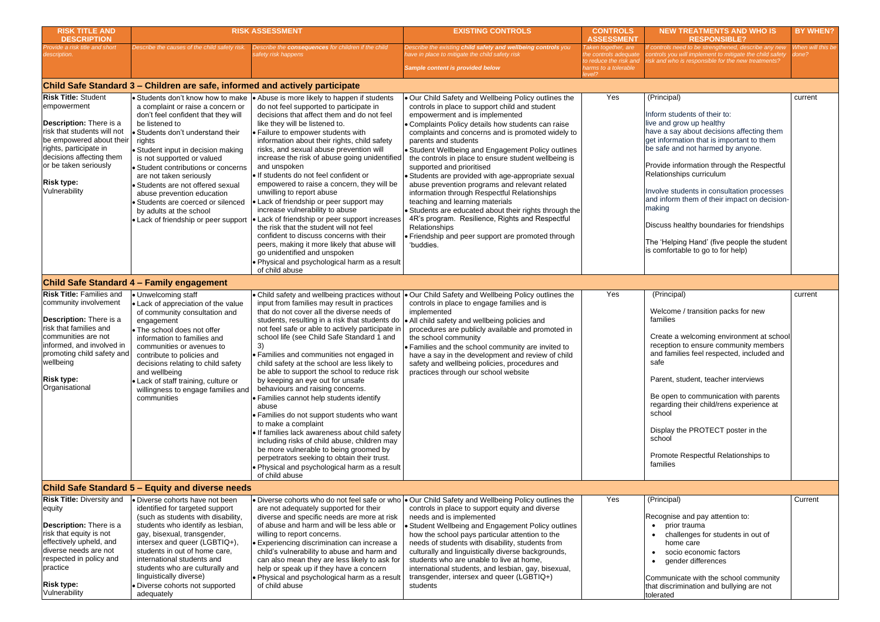| <b>RISK TITLE AND</b><br><b>DESCRIPTION</b>                                                                                                                                                                                                                 |                                                                                                                                                                                                                                                                                                                                                                                                                                                                                                  | <b>RISK ASSESSMENT</b>                                                                                                                                                                                                                                                                                                                                                                                                                                                                                                                                                                                                                                                                                                                                                                                                                                              | <b>EXISTING CONTROLS</b>                                                                                                                                                                                                                                                                                                                                                                                                                                                                                                                                                                                                                                                                                                                                                                                            | <b>CONTROLS</b><br><b>ASSESSMENT</b>                                                                     | <b>NEW TR</b>                                                                                                                                                                                                        |
|-------------------------------------------------------------------------------------------------------------------------------------------------------------------------------------------------------------------------------------------------------------|--------------------------------------------------------------------------------------------------------------------------------------------------------------------------------------------------------------------------------------------------------------------------------------------------------------------------------------------------------------------------------------------------------------------------------------------------------------------------------------------------|---------------------------------------------------------------------------------------------------------------------------------------------------------------------------------------------------------------------------------------------------------------------------------------------------------------------------------------------------------------------------------------------------------------------------------------------------------------------------------------------------------------------------------------------------------------------------------------------------------------------------------------------------------------------------------------------------------------------------------------------------------------------------------------------------------------------------------------------------------------------|---------------------------------------------------------------------------------------------------------------------------------------------------------------------------------------------------------------------------------------------------------------------------------------------------------------------------------------------------------------------------------------------------------------------------------------------------------------------------------------------------------------------------------------------------------------------------------------------------------------------------------------------------------------------------------------------------------------------------------------------------------------------------------------------------------------------|----------------------------------------------------------------------------------------------------------|----------------------------------------------------------------------------------------------------------------------------------------------------------------------------------------------------------------------|
| Provide a risk title and short<br><i>lescription.</i>                                                                                                                                                                                                       | Describe the causes of the child safety risk.                                                                                                                                                                                                                                                                                                                                                                                                                                                    | Describe the consequences for children if the child<br>safety risk happens                                                                                                                                                                                                                                                                                                                                                                                                                                                                                                                                                                                                                                                                                                                                                                                          | Describe the existing child safety and wellbeing controls you<br>ave in place to mitigate the child safety risk<br>Sample content is provided below                                                                                                                                                                                                                                                                                                                                                                                                                                                                                                                                                                                                                                                                 | Taken together, are<br>the controls adequate<br>to reduce the risk and<br>harms to a tolerable<br>level? | f controls need<br>ontrols you wi<br>isk and who is                                                                                                                                                                  |
|                                                                                                                                                                                                                                                             | Child Safe Standard 3 - Children are safe, informed and actively participate                                                                                                                                                                                                                                                                                                                                                                                                                     |                                                                                                                                                                                                                                                                                                                                                                                                                                                                                                                                                                                                                                                                                                                                                                                                                                                                     |                                                                                                                                                                                                                                                                                                                                                                                                                                                                                                                                                                                                                                                                                                                                                                                                                     |                                                                                                          |                                                                                                                                                                                                                      |
| <b>Risk Title: Student</b><br>empowerment<br><b>Description:</b> There is a<br>risk that students will not<br>be empowered about their<br>rights, participate in<br>decisions affecting them<br>or be taken seriously<br><b>Risk type:</b><br>Vulnerability | • Students don't know how to make<br>a complaint or raise a concern or<br>don't feel confident that they will<br>be listened to<br>• Students don't understand their<br>rights<br>• Student input in decision making<br>is not supported or valued<br>· Student contributions or concerns<br>are not taken seriously<br>· Students are not offered sexual<br>abuse prevention education<br>· Students are coerced or silenced<br>by adults at the school<br>• Lack of friendship or peer support | • Abuse is more likely to happen if students<br>do not feel supported to participate in<br>decisions that affect them and do not feel<br>like they will be listened to.<br>• Failure to empower students with<br>information about their rights, child safety<br>risks, and sexual abuse prevention will<br>increase the risk of abuse going unidentified<br>and unspoken<br>· If students do not feel confident or<br>empowered to raise a concern, they will be<br>unwilling to report abuse<br>• Lack of friendship or peer support may<br>increase vulnerability to abuse<br>• Lack of friendship or peer support increases<br>the risk that the student will not feel<br>confident to discuss concerns with their<br>peers, making it more likely that abuse will<br>go unidentified and unspoken<br>. Physical and psychological harm as a result             | . Our Child Safety and Wellbeing Policy outlines the<br>controls in place to support child and student<br>empowerment and is implemented<br>• Complaints Policy details how students can raise<br>complaints and concerns and is promoted widely to<br>parents and students<br>• Student Wellbeing and Engagement Policy outlines<br>the controls in place to ensure student wellbeing is<br>supported and prioritised<br>• Students are provided with age-appropriate sexual<br>abuse prevention programs and relevant related<br>information through Respectful Relationships<br>teaching and learning materials<br>• Students are educated about their rights through the<br>4R's program. Resilience, Rights and Respectful<br>Relationships<br>• Friendship and peer support are promoted through<br>'buddies. | Yes                                                                                                      | (Principal)<br>Inform stude<br>live and grov<br>have a say a<br>get informat<br>be safe and<br>Provide info<br>Relationship<br>Involve stud<br>and inform t<br>making<br>Discuss hea<br>The 'Helping<br>is comfortab |
|                                                                                                                                                                                                                                                             |                                                                                                                                                                                                                                                                                                                                                                                                                                                                                                  | of child abuse                                                                                                                                                                                                                                                                                                                                                                                                                                                                                                                                                                                                                                                                                                                                                                                                                                                      |                                                                                                                                                                                                                                                                                                                                                                                                                                                                                                                                                                                                                                                                                                                                                                                                                     |                                                                                                          |                                                                                                                                                                                                                      |
|                                                                                                                                                                                                                                                             | <b>Child Safe Standard 4 - Family engagement</b>                                                                                                                                                                                                                                                                                                                                                                                                                                                 |                                                                                                                                                                                                                                                                                                                                                                                                                                                                                                                                                                                                                                                                                                                                                                                                                                                                     |                                                                                                                                                                                                                                                                                                                                                                                                                                                                                                                                                                                                                                                                                                                                                                                                                     |                                                                                                          |                                                                                                                                                                                                                      |
| <b>Risk Title: Families and</b><br>community involvement<br><b>Description:</b> There is a<br>risk that families and<br>communities are not<br>informed, and involved in<br>promoting child safety and<br>wellbeing<br><b>Risk type:</b><br>Organisational  | • Unwelcoming staff<br>• Lack of appreciation of the value<br>of community consultation and<br>engagement<br>• The school does not offer<br>information to families and<br>communities or avenues to<br>contribute to policies and<br>decisions relating to child safety<br>and wellbeing<br>• Lack of staff training, culture or<br>willingness to engage families and<br>communities                                                                                                           | input from families may result in practices<br>that do not cover all the diverse needs of<br>students, resulting in a risk that students do<br>not feel safe or able to actively participate in<br>school life (see Child Safe Standard 1 and<br>3)<br>· Families and communities not engaged in<br>child safety at the school are less likely to<br>be able to support the school to reduce risk<br>by keeping an eye out for unsafe<br>behaviours and raising concerns.<br>• Families cannot help students identify<br>abuse<br>• Families do not support students who want<br>to make a complaint<br>. If families lack awareness about child safety<br>including risks of child abuse, children may<br>be more vulnerable to being groomed by<br>perpetrators seeking to obtain their trust.<br>. Physical and psychological harm as a result<br>of child abuse | • Child safety and wellbeing practices without  • Our Child Safety and Wellbeing Policy outlines the<br>controls in place to engage families and is<br>implemented<br>All child safety and wellbeing policies and<br>procedures are publicly available and promoted in<br>the school community<br>• Families and the school community are invited to<br>have a say in the development and review of child<br>safety and wellbeing policies, procedures and<br>practices through our school website                                                                                                                                                                                                                                                                                                                  | Yes                                                                                                      | (Principal)<br>Welcome /<br>families<br>Create a w<br>reception t<br>and familie<br>safe<br>Parent, stu<br>Be open to<br>regarding t<br>school<br>Display the<br>school<br>Promote R<br>families                     |
| <b>Risk Title: Diversity and</b>                                                                                                                                                                                                                            | Child Safe Standard 5 – Equity and diverse needs                                                                                                                                                                                                                                                                                                                                                                                                                                                 |                                                                                                                                                                                                                                                                                                                                                                                                                                                                                                                                                                                                                                                                                                                                                                                                                                                                     |                                                                                                                                                                                                                                                                                                                                                                                                                                                                                                                                                                                                                                                                                                                                                                                                                     | Yes                                                                                                      |                                                                                                                                                                                                                      |
| equity<br>Description: There is a<br>risk that equity is not<br>effectively upheld, and<br>diverse needs are not<br>respected in policy and<br>practice<br><b>Risk type:</b><br>Vulnerability                                                               | · Diverse cohorts have not been<br>identified for targeted support<br>(such as students with disability,<br>students who identify as lesbian,<br>gay, bisexual, transgender,<br>intersex and queer (LGBTIQ+),<br>students in out of home care,<br>international students and<br>students who are culturally and<br>linguistically diverse)<br>· Diverse cohorts not supported<br>adequately                                                                                                      | · Diverse cohorts who do not feel safe or who<br>are not adequately supported for their<br>diverse and specific needs are more at risk<br>of abuse and harm and will be less able or<br>willing to report concerns.<br>· Experiencing discrimination can increase a<br>child's vulnerability to abuse and harm and<br>can also mean they are less likely to ask for<br>help or speak up if they have a concern<br>. Physical and psychological harm as a result<br>of child abuse                                                                                                                                                                                                                                                                                                                                                                                   | . Our Child Safety and Wellbeing Policy outlines the<br>controls in place to support equity and diverse<br>needs and is implemented<br>Student Wellbeing and Engagement Policy outlines<br>how the school pays particular attention to the<br>needs of students with disability, students from<br>culturally and linguistically diverse backgrounds,<br>students who are unable to live at home,<br>international students, and lesbian, gay, bisexual,<br>transgender, intersex and queer (LGBTIQ+)<br>students                                                                                                                                                                                                                                                                                                    |                                                                                                          | (Principal)<br>Recognise a<br>prior t<br>challe<br>home<br>socio<br>gende<br>Communica<br>that discrimi<br>tolerated                                                                                                 |

| <b>NEW TREATMENTS AND WHO IS</b><br><b>RESPONSIBLE?</b>                                                                                                                                 | <b>BY WHEN?</b>            |
|-----------------------------------------------------------------------------------------------------------------------------------------------------------------------------------------|----------------------------|
| If controls need to be strengthened, describe any new<br>controls you will implement to mitigate the child safety<br>risk and who is responsible for the new treatments?                | When will this be<br>done? |
|                                                                                                                                                                                         |                            |
| (Principal)                                                                                                                                                                             | current                    |
| Inform students of their to:<br>live and grow up healthy<br>have a say about decisions affecting them<br>get information that is important to them<br>be safe and not harmed by anyone. |                            |
| Provide information through the Respectful<br>Relationships curriculum                                                                                                                  |                            |
| Involve students in consultation processes<br>and inform them of their impact on decision-<br>making                                                                                    |                            |
| Discuss healthy boundaries for friendships                                                                                                                                              |                            |
| The 'Helping Hand' (five people the student<br>is comfortable to go to for help)                                                                                                        |                            |
|                                                                                                                                                                                         |                            |
| (Principal)                                                                                                                                                                             | current                    |
| Welcome / transition packs for new<br>families                                                                                                                                          |                            |
| Create a welcoming environment at school<br>reception to ensure community members<br>and families feel respected, included and<br>safe                                                  |                            |
| Parent, student, teacher interviews                                                                                                                                                     |                            |
| Be open to communication with parents<br>regarding their child/rens experience at<br>school                                                                                             |                            |
| Display the PROTECT poster in the<br>school                                                                                                                                             |                            |
| Promote Respectful Relationships to<br>families                                                                                                                                         |                            |
|                                                                                                                                                                                         |                            |
| (Principal)                                                                                                                                                                             | Current                    |
| Recognise and pay attention to:<br>prior trauma<br>challenges for students in out of<br>home care<br>socio economic factors<br>gender differences                                       |                            |
| Communicate with the school community<br>that discrimination and bullying are not<br>tolerated                                                                                          |                            |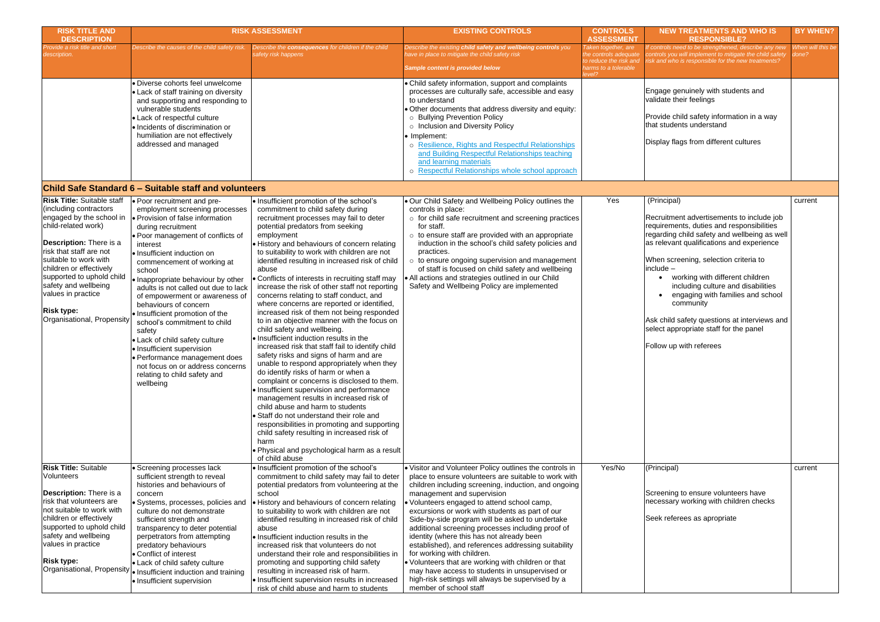| When will this be<br>done? |
|----------------------------|
|                            |
|                            |
|                            |
|                            |
| current                    |
|                            |
|                            |
|                            |
| current                    |
|                            |
|                            |
|                            |

| <b>RISK TITLE AND</b><br><b>DESCRIPTION</b>                                                                                                                                                                                                                                                                                                            |                                                                                                                                                                                                                                                                                                                                                                                                                                                                                                                                                                                                                                                          | <b>RISK ASSESSMENT</b>                                                                                                                                                                                                                                                                                                                                                                                                                                                                                                                                                                                                                                                                                                                                                                                                                                                                                                                                                                                                                                                                                                                                                                                                                                                                           | <b>EXISTING CONTROLS</b>                                                                                                                                                                                                                                                                                                                                                                                                                                                                                                                                                                                                                                                                                                                  | <b>CONTROLS</b><br><b>ASSESSMENT</b>                                                                     | NEW 1                                                                                                                                                                                |
|--------------------------------------------------------------------------------------------------------------------------------------------------------------------------------------------------------------------------------------------------------------------------------------------------------------------------------------------------------|----------------------------------------------------------------------------------------------------------------------------------------------------------------------------------------------------------------------------------------------------------------------------------------------------------------------------------------------------------------------------------------------------------------------------------------------------------------------------------------------------------------------------------------------------------------------------------------------------------------------------------------------------------|--------------------------------------------------------------------------------------------------------------------------------------------------------------------------------------------------------------------------------------------------------------------------------------------------------------------------------------------------------------------------------------------------------------------------------------------------------------------------------------------------------------------------------------------------------------------------------------------------------------------------------------------------------------------------------------------------------------------------------------------------------------------------------------------------------------------------------------------------------------------------------------------------------------------------------------------------------------------------------------------------------------------------------------------------------------------------------------------------------------------------------------------------------------------------------------------------------------------------------------------------------------------------------------------------|-------------------------------------------------------------------------------------------------------------------------------------------------------------------------------------------------------------------------------------------------------------------------------------------------------------------------------------------------------------------------------------------------------------------------------------------------------------------------------------------------------------------------------------------------------------------------------------------------------------------------------------------------------------------------------------------------------------------------------------------|----------------------------------------------------------------------------------------------------------|--------------------------------------------------------------------------------------------------------------------------------------------------------------------------------------|
| Provide a risk title and short<br>description.                                                                                                                                                                                                                                                                                                         | Describe the causes of the child safety risk.                                                                                                                                                                                                                                                                                                                                                                                                                                                                                                                                                                                                            | Describe the consequences for children if the child<br>safety risk happens                                                                                                                                                                                                                                                                                                                                                                                                                                                                                                                                                                                                                                                                                                                                                                                                                                                                                                                                                                                                                                                                                                                                                                                                                       | Describe the existing child safety and wellbeing controls you<br>have in place to mitigate the child safety risk<br>Sample content is provided below                                                                                                                                                                                                                                                                                                                                                                                                                                                                                                                                                                                      | Taken together, are<br>the controls adequate<br>to reduce the risk and<br>harms to a tolerable<br>level? | If controls ne<br>controls you<br>risk and who                                                                                                                                       |
|                                                                                                                                                                                                                                                                                                                                                        | · Diverse cohorts feel unwelcome<br>• Lack of staff training on diversity<br>and supporting and responding to<br>vulnerable students<br>• Lack of respectful culture<br>· Incidents of discrimination or<br>humiliation are not effectively<br>addressed and managed                                                                                                                                                                                                                                                                                                                                                                                     |                                                                                                                                                                                                                                                                                                                                                                                                                                                                                                                                                                                                                                                                                                                                                                                                                                                                                                                                                                                                                                                                                                                                                                                                                                                                                                  | • Child safety information, support and complaints<br>processes are culturally safe, accessible and easy<br>to understand<br>. Other documents that address diversity and equity:<br>o Bullying Prevention Policy<br>o Inclusion and Diversity Policy<br>• Implement:<br>o Resilience, Rights and Respectful Relationships<br>and Building Respectful Relationships teaching<br>and learning materials<br>o Respectful Relationships whole school approach                                                                                                                                                                                                                                                                                |                                                                                                          | Engage ge<br>validate the<br>Provide ch<br>that studer<br>Display fla                                                                                                                |
|                                                                                                                                                                                                                                                                                                                                                        | Child Safe Standard 6 – Suitable staff and volunteers                                                                                                                                                                                                                                                                                                                                                                                                                                                                                                                                                                                                    |                                                                                                                                                                                                                                                                                                                                                                                                                                                                                                                                                                                                                                                                                                                                                                                                                                                                                                                                                                                                                                                                                                                                                                                                                                                                                                  |                                                                                                                                                                                                                                                                                                                                                                                                                                                                                                                                                                                                                                                                                                                                           |                                                                                                          |                                                                                                                                                                                      |
| <b>Risk Title: Suitable staff</b><br>(including contractors<br>engaged by the school in<br>child-related work)<br>Description: There is a<br>risk that staff are not<br>suitable to work with<br>children or effectively<br>supported to uphold child<br>safety and wellbeing<br>values in practice<br><b>Risk type:</b><br>Organisational, Propensity | • Poor recruitment and pre-<br>employment screening processes<br>● Provision of false information<br>during recruitment<br>. Poor management of conflicts of<br>interest<br>· Insufficient induction on<br>commencement of working at<br>school<br>• Inappropriate behaviour by other<br>adults is not called out due to lack<br>of empowerment or awareness of<br>behaviours of concern<br>· Insufficient promotion of the<br>school's commitment to child<br>safety<br>• Lack of child safety culture<br>• Insufficient supervision<br>l• Performance management does<br>not focus on or address concerns<br>relating to child safety and<br>wellbeing | . Insufficient promotion of the school's<br>commitment to child safety during<br>recruitment processes may fail to deter<br>potential predators from seeking<br>employment<br>• History and behaviours of concern relating<br>to suitability to work with children are not<br>identified resulting in increased risk of child<br>abuse<br>• Conflicts of interests in recruiting staff may<br>increase the risk of other staff not reporting<br>concerns relating to staff conduct, and<br>where concerns are reported or identified,<br>increased risk of them not being responded<br>to in an objective manner with the focus on<br>child safety and wellbeing.<br>. Insufficient induction results in the<br>increased risk that staff fail to identify child<br>safety risks and signs of harm and are<br>unable to respond appropriately when they<br>do identify risks of harm or when a<br>complaint or concerns is disclosed to them.<br>· Insufficient supervision and performance<br>management results in increased risk of<br>child abuse and harm to students<br>• Staff do not understand their role and<br>responsibilities in promoting and supporting<br>child safety resulting in increased risk of<br>harm<br>• Physical and psychological harm as a result<br>of child abuse | . Our Child Safety and Wellbeing Policy outlines the<br>controls in place:<br>o for child safe recruitment and screening practices<br>for staff.<br>$\circ$ to ensure staff are provided with an appropriate<br>induction in the school's child safety policies and<br>practices.<br>o to ensure ongoing supervision and management<br>of staff is focused on child safety and wellbeing<br>. All actions and strategies outlined in our Child<br>Safety and Wellbeing Policy are implemented                                                                                                                                                                                                                                             | Yes                                                                                                      | (Principal)<br>Recruitmer<br>requiremer<br>regarding<br>as relevan<br>When scre<br>include –<br><b>WC</b><br>$\bullet$<br>inc<br>en<br>CO<br>Ask child s<br>select appr<br>Follow up |
| <b>Risk Title: Suitable</b><br><b>Volunteers</b><br>Description: There is a<br>risk that volunteers are<br>not suitable to work with<br>children or effectively<br>supported to uphold child<br>safety and wellbeing<br>values in practice<br><b>Risk type:</b>                                                                                        | • Screening processes lack<br>sufficient strength to reveal<br>histories and behaviours of<br>concern<br>· Systems, processes, policies and<br>culture do not demonstrate<br>sufficient strength and<br>transparency to deter potential<br>perpetrators from attempting<br>predatory behaviours<br>• Conflict of interest<br>• Lack of child safety culture<br>Organisational, Propensity  . Insufficient induction and training<br>• Insufficient supervision                                                                                                                                                                                           | · Insufficient promotion of the school's<br>commitment to child safety may fail to deter<br>potential predators from volunteering at the<br>school<br>. History and behaviours of concern relating<br>to suitability to work with children are not<br>identified resulting in increased risk of child<br>abuse<br>. Insufficient induction results in the<br>increased risk that volunteers do not<br>understand their role and responsibilities in<br>promoting and supporting child safety<br>resulting in increased risk of harm.<br>· Insufficient supervision results in increased<br>risk of child abuse and harm to students                                                                                                                                                                                                                                                                                                                                                                                                                                                                                                                                                                                                                                                              | . Visitor and Volunteer Policy outlines the controls in<br>place to ensure volunteers are suitable to work with<br>children including screening, induction, and ongoing<br>management and supervision<br>· Volunteers engaged to attend school camp,<br>excursions or work with students as part of our<br>Side-by-side program will be asked to undertake<br>additional screening processes including proof of<br>identity (where this has not already been<br>established), and references addressing suitability<br>for working with children.<br>. Volunteers that are working with children or that<br>may have access to students in unsupervised or<br>high-risk settings will always be supervised by a<br>member of school staff | Yes/No                                                                                                   | (Principal)<br>Screening<br>necessary<br>Seek refer                                                                                                                                  |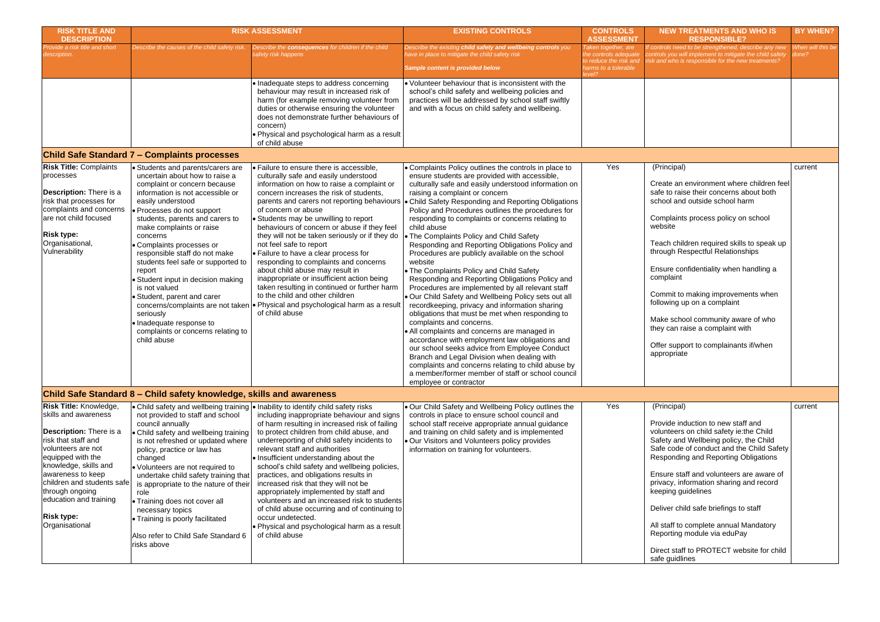| <b>RISK TITLE AND</b><br><b>DESCRIPTION</b>                                                                                                                                                                                                                                                                               |                                                                                                                                                                                                                                                                                                                                                                                                                                                                                                                                                                         | <b>RISK ASSESSMENT</b><br><b>EXISTING CONTROLS</b>                                                                                                                                                                                                                                                                                                                                                                                                                                                                                                                                                                                                                                                                                             |                                                                                                                                                                                                                                                                                                                                                                                                                                                                                                                                                                                                                                                                                                                                                                                                                                                                                                                                                                                                                                                                                                                                                                                                                                                                             | <b>CONTROLS</b><br><b>ASSESSMENT</b>                                                                     | <b>NEW</b>                                                                                                                                                               |
|---------------------------------------------------------------------------------------------------------------------------------------------------------------------------------------------------------------------------------------------------------------------------------------------------------------------------|-------------------------------------------------------------------------------------------------------------------------------------------------------------------------------------------------------------------------------------------------------------------------------------------------------------------------------------------------------------------------------------------------------------------------------------------------------------------------------------------------------------------------------------------------------------------------|------------------------------------------------------------------------------------------------------------------------------------------------------------------------------------------------------------------------------------------------------------------------------------------------------------------------------------------------------------------------------------------------------------------------------------------------------------------------------------------------------------------------------------------------------------------------------------------------------------------------------------------------------------------------------------------------------------------------------------------------|-----------------------------------------------------------------------------------------------------------------------------------------------------------------------------------------------------------------------------------------------------------------------------------------------------------------------------------------------------------------------------------------------------------------------------------------------------------------------------------------------------------------------------------------------------------------------------------------------------------------------------------------------------------------------------------------------------------------------------------------------------------------------------------------------------------------------------------------------------------------------------------------------------------------------------------------------------------------------------------------------------------------------------------------------------------------------------------------------------------------------------------------------------------------------------------------------------------------------------------------------------------------------------|----------------------------------------------------------------------------------------------------------|--------------------------------------------------------------------------------------------------------------------------------------------------------------------------|
| Provide a risk title and short<br>description.                                                                                                                                                                                                                                                                            | Describe the causes of the child safety risk.                                                                                                                                                                                                                                                                                                                                                                                                                                                                                                                           | Describe the consequences for children if the child<br>safety risk happens                                                                                                                                                                                                                                                                                                                                                                                                                                                                                                                                                                                                                                                                     | Describe the existing child safety and wellbeing controls you<br>have in place to mitigate the child safety risk<br>Sample content is provided below                                                                                                                                                                                                                                                                                                                                                                                                                                                                                                                                                                                                                                                                                                                                                                                                                                                                                                                                                                                                                                                                                                                        | Taken together, are<br>the controls adequate<br>to reduce the risk and<br>harms to a tolerable<br>level? | f controls ı<br>controls yo<br>isk and wh                                                                                                                                |
|                                                                                                                                                                                                                                                                                                                           |                                                                                                                                                                                                                                                                                                                                                                                                                                                                                                                                                                         | · Inadequate steps to address concerning<br>behaviour may result in increased risk of<br>harm (for example removing volunteer from<br>duties or otherwise ensuring the volunteer<br>does not demonstrate further behaviours of<br>concern)<br>. Physical and psychological harm as a result<br>of child abuse                                                                                                                                                                                                                                                                                                                                                                                                                                  | • Volunteer behaviour that is inconsistent with the<br>school's child safety and wellbeing policies and<br>practices will be addressed by school staff swiftly<br>and with a focus on child safety and wellbeing.                                                                                                                                                                                                                                                                                                                                                                                                                                                                                                                                                                                                                                                                                                                                                                                                                                                                                                                                                                                                                                                           |                                                                                                          |                                                                                                                                                                          |
|                                                                                                                                                                                                                                                                                                                           | <b>Child Safe Standard 7 - Complaints processes</b>                                                                                                                                                                                                                                                                                                                                                                                                                                                                                                                     |                                                                                                                                                                                                                                                                                                                                                                                                                                                                                                                                                                                                                                                                                                                                                |                                                                                                                                                                                                                                                                                                                                                                                                                                                                                                                                                                                                                                                                                                                                                                                                                                                                                                                                                                                                                                                                                                                                                                                                                                                                             |                                                                                                          |                                                                                                                                                                          |
| <b>Risk Title: Complaints</b><br>processes<br>Description: There is a<br>risk that processes for<br>complaints and concerns<br>are not child focused<br><b>Risk type:</b><br>Organisational,<br>Vulnerability                                                                                                             | • Students and parents/carers are<br>uncertain about how to raise a<br>complaint or concern because<br>information is not accessible or<br>easily understood<br>· Processes do not support<br>students, parents and carers to<br>make complaints or raise<br>concerns<br>• Complaints processes or<br>responsible staff do not make<br>students feel safe or supported to<br>report<br>• Student input in decision making<br>is not valued<br>• Student, parent and carer<br>seriously<br>· Inadequate response to<br>complaints or concerns relating to<br>child abuse | • Failure to ensure there is accessible,<br>culturally safe and easily understood<br>information on how to raise a complaint or<br>concern increases the risk of students.<br>of concern or abuse<br>• Students may be unwilling to report<br>behaviours of concern or abuse if they feel<br>they will not be taken seriously or if they do<br>not feel safe to report<br>• Failure to have a clear process for<br>responding to complaints and concerns<br>about child abuse may result in<br>inappropriate or insufficient action being<br>taken resulting in continued or further harm<br>to the child and other children<br>concerns/complaints are not taken   • Physical and psychological harm as a result<br>of child abuse            | • Complaints Policy outlines the controls in place to<br>ensure students are provided with accessible,<br>culturally safe and easily understood information on<br>raising a complaint or concern<br>parents and carers not reporting behaviours   • Child Safety Responding and Reporting Obligations<br>Policy and Procedures outlines the procedures for<br>responding to complaints or concerns relating to<br>child abuse<br>The Complaints Policy and Child Safety<br>Responding and Reporting Obligations Policy and<br>Procedures are publicly available on the school<br>website<br>• The Complaints Policy and Child Safety<br>Responding and Reporting Obligations Policy and<br>Procedures are implemented by all relevant staff<br>. Our Child Safety and Wellbeing Policy sets out all<br>recordkeeping, privacy and information sharing<br>obligations that must be met when responding to<br>complaints and concerns.<br>• All complaints and concerns are managed in<br>accordance with employment law obligations and<br>our school seeks advice from Employee Conduct<br>Branch and Legal Division when dealing with<br>complaints and concerns relating to child abuse by<br>a member/former member of staff or school council<br>employee or contractor | Yes                                                                                                      | (Princip<br>Create<br>safe to<br>school<br>Compla<br>website<br>Teach o<br>through<br>Ensure<br>compla<br>Commit<br>followin<br>Make s<br>they ca<br>Offer su<br>appropi |
|                                                                                                                                                                                                                                                                                                                           | Child Safe Standard 8 – Child safety knowledge, skills and awareness                                                                                                                                                                                                                                                                                                                                                                                                                                                                                                    |                                                                                                                                                                                                                                                                                                                                                                                                                                                                                                                                                                                                                                                                                                                                                |                                                                                                                                                                                                                                                                                                                                                                                                                                                                                                                                                                                                                                                                                                                                                                                                                                                                                                                                                                                                                                                                                                                                                                                                                                                                             |                                                                                                          |                                                                                                                                                                          |
| <b>Risk Title: Knowledge,</b><br>skills and awareness<br><b>Description:</b> There is a<br>risk that staff and<br>volunteers are not<br>equipped with the<br>knowledge, skills and<br>awareness to keep<br>children and students safe<br>through ongoing<br>education and training<br><b>Risk type:</b><br>Organisational | not provided to staff and school<br>council annually<br>• Child safety and wellbeing training<br>is not refreshed or updated where<br>policy, practice or law has<br>changed<br>• Volunteers are not required to<br>undertake child safety training that<br>is appropriate to the nature of their<br>role<br>• Training does not cover all<br>necessary topics<br>• Training is poorly facilitated<br>Also refer to Child Safe Standard 6<br>risks above                                                                                                                | $\bullet$ Child safety and wellbeing training $\bullet$ Inability to identify child safety risks<br>including inappropriate behaviour and signs<br>of harm resulting in increased risk of failing<br>to protect children from child abuse, and<br>underreporting of child safety incidents to<br>relevant staff and authorities<br>• Insufficient understanding about the<br>school's child safety and wellbeing policies,<br>practices, and obligations results in<br>increased risk that they will not be<br>appropriately implemented by staff and<br>volunteers and an increased risk to students<br>of child abuse occurring and of continuing to<br>occur undetected.<br>. Physical and psychological harm as a result<br>of child abuse | . Our Child Safety and Wellbeing Policy outlines the<br>controls in place to ensure school council and<br>school staff receive appropriate annual guidance<br>and training on child safety and is implemented<br>. Our Visitors and Volunteers policy provides<br>information on training for volunteers.                                                                                                                                                                                                                                                                                                                                                                                                                                                                                                                                                                                                                                                                                                                                                                                                                                                                                                                                                                   | Yes                                                                                                      | (Princip<br>Provide<br>volunte<br>Safety a<br>Safe co<br>Respon<br>Ensure<br>privacy<br>keeping<br>Deliver<br>All staff<br>Reporti<br>Direct s<br>safe gu                |

| <b>NEW TREATMENTS AND WHO IS</b><br><b>RESPONSIBLE?</b>                                                                                                                                                       | <b>BY WHEN?</b>            |
|---------------------------------------------------------------------------------------------------------------------------------------------------------------------------------------------------------------|----------------------------|
| If controls need to be strengthened, describe any new<br>controls you will implement to mitigate the child safety<br>risk and who is responsible for the new treatments?                                      | When will this be<br>done? |
|                                                                                                                                                                                                               |                            |
|                                                                                                                                                                                                               |                            |
|                                                                                                                                                                                                               |                            |
|                                                                                                                                                                                                               |                            |
|                                                                                                                                                                                                               |                            |
| (Principal)                                                                                                                                                                                                   | current                    |
| Create an environment where children feel<br>safe to raise their concerns about both<br>school and outside school harm                                                                                        |                            |
| Complaints process policy on school<br>website                                                                                                                                                                |                            |
| Teach children required skills to speak up<br>through Respectful Relationships                                                                                                                                |                            |
| Ensure confidentiality when handling a<br>complaint                                                                                                                                                           |                            |
| Commit to making improvements when<br>following up on a complaint                                                                                                                                             |                            |
| Make school community aware of who<br>they can raise a complaint with                                                                                                                                         |                            |
| Offer support to complainants if/when<br>appropriate                                                                                                                                                          |                            |
|                                                                                                                                                                                                               |                            |
|                                                                                                                                                                                                               |                            |
| (Principal)                                                                                                                                                                                                   | current                    |
| Provide induction to new staff and<br>volunteers on child safety ie: the Child<br>Safety and Wellbeing policy, the Child<br>Safe code of conduct and the Child Safety<br>Responding and Reporting Obligations |                            |
| Ensure staff and volunteers are aware of<br>privacy, information sharing and record<br>keeping guidelines                                                                                                     |                            |
| Deliver child safe briefings to staff                                                                                                                                                                         |                            |
| All staff to complete annual Mandatory<br>Reporting module via eduPay                                                                                                                                         |                            |
| Direct staff to PROTECT website for child<br>safe guidlines                                                                                                                                                   |                            |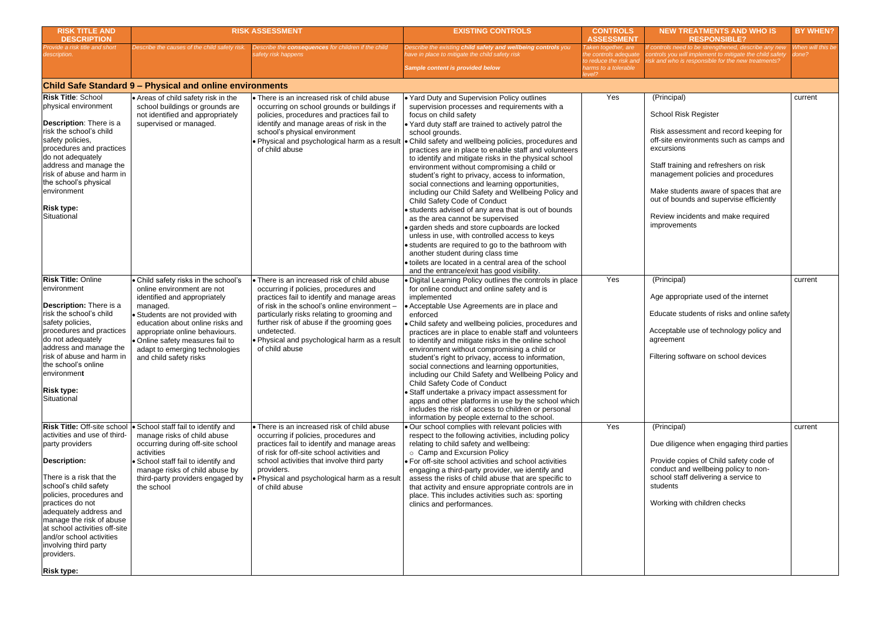| <b>RISK TITLE AND</b><br><b>DESCRIPTION</b>                                                                                                                                                                                                                                                                                                                          |                                                                                                                                                                                                                                                                                                                          | <b>RISK ASSESSMENT</b>                                                                                                                                                                                                                                                                                                                                             | <b>EXISTING CONTROLS</b>                                                                                                                                                                                                                                                                                                                                                                                                                                                                                                                                                                                                                                                                                                                                                                                                                                                                                                                                                    | <b>CONTROLS</b><br><b>ASSESSMENT</b>                                   | <b>NEW TR</b>                                                                                                                                                   |
|----------------------------------------------------------------------------------------------------------------------------------------------------------------------------------------------------------------------------------------------------------------------------------------------------------------------------------------------------------------------|--------------------------------------------------------------------------------------------------------------------------------------------------------------------------------------------------------------------------------------------------------------------------------------------------------------------------|--------------------------------------------------------------------------------------------------------------------------------------------------------------------------------------------------------------------------------------------------------------------------------------------------------------------------------------------------------------------|-----------------------------------------------------------------------------------------------------------------------------------------------------------------------------------------------------------------------------------------------------------------------------------------------------------------------------------------------------------------------------------------------------------------------------------------------------------------------------------------------------------------------------------------------------------------------------------------------------------------------------------------------------------------------------------------------------------------------------------------------------------------------------------------------------------------------------------------------------------------------------------------------------------------------------------------------------------------------------|------------------------------------------------------------------------|-----------------------------------------------------------------------------------------------------------------------------------------------------------------|
| Provide a risk title and short<br>description.                                                                                                                                                                                                                                                                                                                       | Describe the causes of the child safety risk.                                                                                                                                                                                                                                                                            | Describe the consequences for children if the child<br>safety risk happens                                                                                                                                                                                                                                                                                         | Describe the existing child safety and wellbeing controls you<br>have in place to mitigate the child safety risk                                                                                                                                                                                                                                                                                                                                                                                                                                                                                                                                                                                                                                                                                                                                                                                                                                                            | Taken together, are<br>the controls adequate<br>to reduce the risk and | f controls need<br>controls you wi<br>isk and who is                                                                                                            |
|                                                                                                                                                                                                                                                                                                                                                                      |                                                                                                                                                                                                                                                                                                                          |                                                                                                                                                                                                                                                                                                                                                                    | Sample content is provided below                                                                                                                                                                                                                                                                                                                                                                                                                                                                                                                                                                                                                                                                                                                                                                                                                                                                                                                                            | harms to a tolerable<br>level?                                         |                                                                                                                                                                 |
|                                                                                                                                                                                                                                                                                                                                                                      | <b>Child Safe Standard 9 – Physical and online environments</b>                                                                                                                                                                                                                                                          |                                                                                                                                                                                                                                                                                                                                                                    |                                                                                                                                                                                                                                                                                                                                                                                                                                                                                                                                                                                                                                                                                                                                                                                                                                                                                                                                                                             |                                                                        |                                                                                                                                                                 |
| <b>Risk Title: School</b><br>physical environment<br><b>Description:</b> There is a<br>risk the school's child<br>safety policies,<br>procedures and practices<br>do not adequately<br>address and manage the<br>risk of abuse and harm in<br>the school's physical<br>lenvironment<br><b>Risk type:</b><br>Situational                                              | • Areas of child safety risk in the<br>school buildings or grounds are<br>not identified and appropriately<br>supervised or managed.                                                                                                                                                                                     | • There is an increased risk of child abuse<br>occurring on school grounds or buildings if<br>policies, procedures and practices fail to<br>identify and manage areas of risk in the<br>school's physical environment<br>. Physical and psychological harm as a result<br>of child abuse                                                                           | ↓ Yard Duty and Supervision Policy outlines<br>supervision processes and requirements with a<br>focus on child safety<br>. Yard duty staff are trained to actively patrol the<br>school grounds.<br>• Child safety and wellbeing policies, procedures and<br>practices are in place to enable staff and volunteers<br>to identify and mitigate risks in the physical school<br>environment without compromising a child or<br>student's right to privacy, access to information,<br>social connections and learning opportunities,<br>including our Child Safety and Wellbeing Policy and<br>Child Safety Code of Conduct<br>• students advised of any area that is out of bounds<br>as the area cannot be supervised<br>· garden sheds and store cupboards are locked<br>unless in use, with controlled access to keys<br>• students are required to go to the bathroom with<br>another student during class time<br>• toilets are located in a central area of the school | Yes                                                                    | (Principal)<br><b>School Ris</b><br>Risk asses<br>off-site en<br>excursions<br>Staff trainin<br>manageme<br>Make stud<br>out of bour<br>Review inc<br>improveme |
| <b>Risk Title: Online</b><br>environment<br>Description: There is a<br>risk the school's child<br>safety policies,<br>procedures and practices<br>do not adequately<br>address and manage the<br>risk of abuse and harm in<br>the school's online<br>environment<br><b>Risk type:</b><br>Situational                                                                 | • Child safety risks in the school's<br>online environment are not<br>identified and appropriately<br>managed.<br>• Students are not provided with<br>education about online risks and<br>appropriate online behaviours.<br>· Online safety measures fail to<br>adapt to emerging technologies<br>and child safety risks | • There is an increased risk of child abuse<br>occurring if policies, procedures and<br>practices fail to identify and manage areas<br>of risk in the school's online environment -<br>particularly risks relating to grooming and<br>further risk of abuse if the grooming goes<br>undetected.<br>. Physical and psychological harm as a result<br>of child abuse | and the entrance/exit has good visibility.<br>· Digital Learning Policy outlines the controls in place<br>for online conduct and online safety and is<br>implemented<br>• Acceptable Use Agreements are in place and<br>enforced<br>• Child safety and wellbeing policies, procedures and<br>practices are in place to enable staff and volunteers<br>to identify and mitigate risks in the online school<br>environment without compromising a child or<br>student's right to privacy, access to information,<br>social connections and learning opportunities,<br>including our Child Safety and Wellbeing Policy and<br>Child Safety Code of Conduct<br>• Staff undertake a privacy impact assessment for<br>apps and other platforms in use by the school which<br>includes the risk of access to children or personal<br>information by people external to the school.                                                                                                 | Yes                                                                    | (Principal)<br>Age appro<br>Educate st<br>Acceptable<br>agreement<br>Filtering so                                                                               |
| <b>Risk Title: Off-site school</b><br>activities and use of third-<br>party providers<br>Description:<br>There is a risk that the<br>school's child safety<br>policies, procedures and<br>practices do not<br>adequately address and<br>manage the risk of abuse<br>at school activities off-site<br>and/or school activities<br>involving third party<br>providers. | • School staff fail to identify and<br>manage risks of child abuse<br>occurring during off-site school<br>activities<br>· School staff fail to identify and<br>manage risks of child abuse by<br>third-party providers engaged by<br>the school                                                                          | • There is an increased risk of child abuse<br>occurring if policies, procedures and<br>practices fail to identify and manage areas<br>of risk for off-site school activities and<br>school activities that involve third party<br>providers.<br>. Physical and psychological harm as a result<br>of child abuse                                                   | . Our school complies with relevant policies with<br>respect to the following activities, including policy<br>relating to child safety and wellbeing:<br>o Camp and Excursion Policy<br>• For off-site school activities and school activities<br>engaging a third-party provider, we identify and<br>assess the risks of child abuse that are specific to<br>that activity and ensure appropriate controls are in<br>place. This includes activities such as: sporting<br>clinics and performances.                                                                                                                                                                                                                                                                                                                                                                                                                                                                        | Yes                                                                    | (Principal)<br>Due diliger<br>Provide co<br>conduct ar<br>school staf<br>students<br>Working w                                                                  |
| <b>Risk type:</b>                                                                                                                                                                                                                                                                                                                                                    |                                                                                                                                                                                                                                                                                                                          |                                                                                                                                                                                                                                                                                                                                                                    |                                                                                                                                                                                                                                                                                                                                                                                                                                                                                                                                                                                                                                                                                                                                                                                                                                                                                                                                                                             |                                                                        |                                                                                                                                                                 |

| <b>NEW TREATMENTS AND WHO IS</b><br><b>RESPONSIBLE?</b>                                                                                                                  | <b>BY WHEN?</b>            |
|--------------------------------------------------------------------------------------------------------------------------------------------------------------------------|----------------------------|
| If controls need to be strengthened, describe any new<br>controls you will implement to mitigate the child safety<br>risk and who is responsible for the new treatments? | When will this be<br>done? |
|                                                                                                                                                                          |                            |
| (Principal)                                                                                                                                                              | current                    |
| <b>School Risk Register</b>                                                                                                                                              |                            |
| Risk assessment and record keeping for<br>off-site environments such as camps and<br>excursions                                                                          |                            |
| Staff training and refreshers on risk<br>management policies and procedures                                                                                              |                            |
| Make students aware of spaces that are<br>out of bounds and supervise efficiently                                                                                        |                            |
| Review incidents and make required<br>improvements                                                                                                                       |                            |
|                                                                                                                                                                          |                            |
| (Principal)                                                                                                                                                              | current                    |
| Age appropriate used of the internet                                                                                                                                     |                            |
| Educate students of risks and online safety                                                                                                                              |                            |
| Acceptable use of technology policy and<br>agreement                                                                                                                     |                            |
| Filtering software on school devices                                                                                                                                     |                            |
|                                                                                                                                                                          |                            |
|                                                                                                                                                                          |                            |
|                                                                                                                                                                          |                            |
| (Principal)                                                                                                                                                              | current                    |
| Due diligence when engaging third parties                                                                                                                                |                            |
| Provide copies of Child safety code of<br>conduct and wellbeing policy to non-<br>school staff delivering a service to<br>students                                       |                            |
| Working with children checks                                                                                                                                             |                            |
|                                                                                                                                                                          |                            |
|                                                                                                                                                                          |                            |